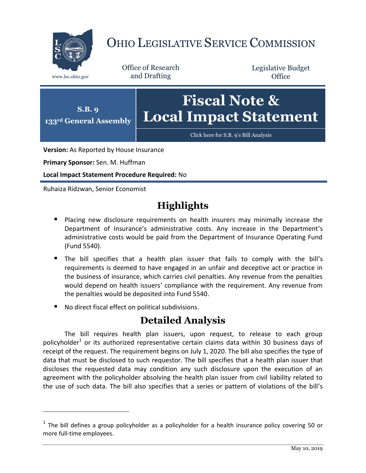

## OHIO LEGISLATIVE SERVICE COMMISSION

Office of Research www.lsc.ohio.gov and Drafting

Legislative Budget **Office** 



**Version:** As Reported by House Insurance

**Primary Sponsor:** Sen. M. Huffman

**Local Impact Statement Procedure Required:** No

Ruhaiza Ridzwan, Senior Economist

 $\overline{a}$ 

## **Highlights**

- **Placing new disclosure requirements on health insurers may minimally increase the** Department of Insurance's administrative costs. Any increase in the Department's administrative costs would be paid from the Department of Insurance Operating Fund (Fund 5540).
- The bill specifies that a health plan issuer that fails to comply with the bill's requirements is deemed to have engaged in an unfair and deceptive act or practice in the business of insurance, which carries civil penalties. Any revenue from the penalties would depend on health issuers' compliance with the requirement. Any revenue from the penalties would be deposited into Fund 5540.
- No direct fiscal effect on political subdivisions.

## **Detailed Analysis**

The bill requires health plan issuers, upon request, to release to each group policyholder<sup>1</sup> or its authorized representative certain claims data within 30 business days of receipt of the request. The requirement begins on July 1, 2020. The bill also specifies the type of data that must be disclosed to such requestor. The bill specifies that a health plan issuer that discloses the requested data may condition any such disclosure upon the execution of an agreement with the policyholder absolving the health plan issuer from civil liability related to the use of such data. The bill also specifies that a series or pattern of violations of the bill's

 $<sup>1</sup>$  The bill defines a group policyholder as a policyholder for a health insurance policy covering 50 or</sup> more full-time employees.